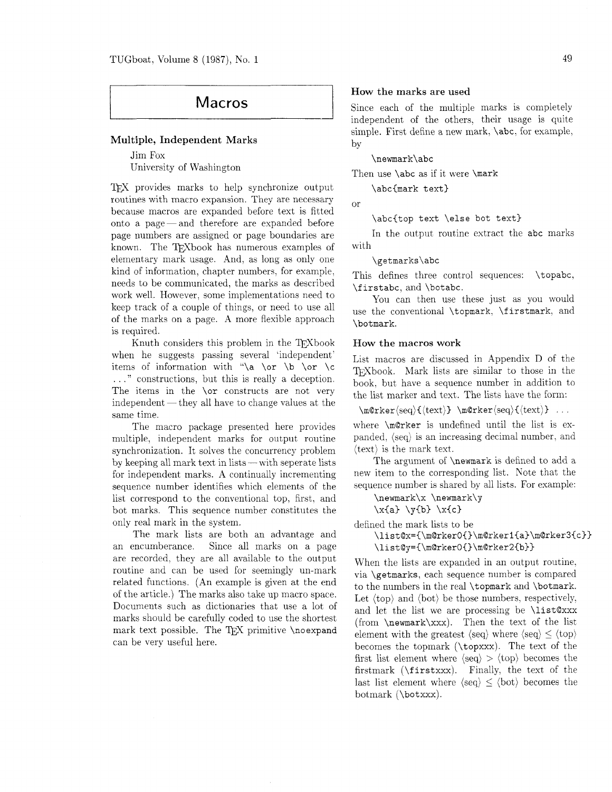# Macros

### Multiple, Independent Marks

Jim Fox University of Washington

TFX provides marks to help synchronize output routines with macro expansion. They are necessary because macros are expanded before text is fitted onto a page—and therefore are expanded before page numbers are assigned or page boundaries are known. The TEXbook has numerous examples of elementary mark usage. And, as long as only one kind of information, chapter numbers, for example, needs to be communicated, the marks as described work well. However, some implementations need to keep track of a couple of things, or need to use all of the marks on a page. A more flexible approach is required.

Knuth considers this problem in the T<sub>F</sub>Xbook when he suggests passing several 'independent' items of information with "\a \or \b \or \c . . ." constructions, but this is really a deception. The items in the **\or** constructs are not very  $independent$  - they all have to change values at the same time.

The macro package presented here provides multiple, independent marks for output routine synchronization. It solves the concurrency problem multiple, independent marks for output routine<br>synchronization. It solves the concurrency problem<br>by keeping all mark text in lists — with seperate lists for independent marks. A continually incrementing sequence number identifies which elements of the list correspond to the conventional top. first. and bot marks. This sequence number constitutes the only real mark in the system.

The mark lists are both an advantage and an encumberance. Since all marks on a page are recorded, they are all available to the output routine and can be used for seemingly un-mark related functions. (An example is given at the end of the article.) The marks also take up macro space. Documents such as dictionaries that use a lot of marks should be carefully coded to use the shortest mark text possible. The TEX primitive \noexpand can be very useful here.

#### How the marks are used

Since each of the multiple marks is completely independent of the others. their usage is quite simple. First define a new mark, \abc, for example, by

\newmark\abc

Then use **\abc** as if it were **\mark** 

\abc{mark text)

<sub>or</sub>

\abc{top text \else bot text)

In the output routine extract the abc marks with

\getmarks\abc

This defines three control sequences: \topabc, \f irstabc, and \botabc.

You can then use these just as you would use the conventional \topmark, \firstmark. and \botmark.

#### How the macros work

List macros are discussed in Appendix D of the TFXbook. Mark lists are similar to those in the book. but have a sequence number in addition to the list marker and text. The lists have the form:

 $\m{\text{seq}}({\text{text}} \mathbf{}\$ 

where \m@rker is undefined until the list is expanded, (seq) is an increasing decimal number, and (text) is the mark text.

The argument of **\newmark** is defined to add a new item to the corresponding list. Note that the sequence number is shared by all lists. For example:

\newmark\x \newmark\y

 $\xa\} \y(b) \x(c)$ 

defined the mark lists to be \list@x={\m@rkerO{}\m@rker1{a}\m@rker3{c}}

 $\list@y=\{\m@rkerO\{\}\m@rker2\{b\}\}$ 

When the lists are expanded in an output routine. via \getmarks, each sequence number is compared to the numbers in the real \topmark and \botmark. Let  $\langle \text{top} \rangle$  and  $\langle \text{bot} \rangle$  be those numbers, respectively, and let the list we are processing be \list@xxx (from \newmark\xxx). Then the text of the list element with the greatest  $\langle \text{seq} \rangle$  where  $\langle \text{seq} \rangle \leq \langle \text{top} \rangle$ becomes the topmark (\topxxx). The text of the first list element where  $\langle \text{seq} \rangle > \langle \text{top} \rangle$  becomes the firstmark (\firstxxx). Finally, the text of the last list element where  $\langle seq \rangle \le \langle bot \rangle$  becomes the botmark (\botxxx).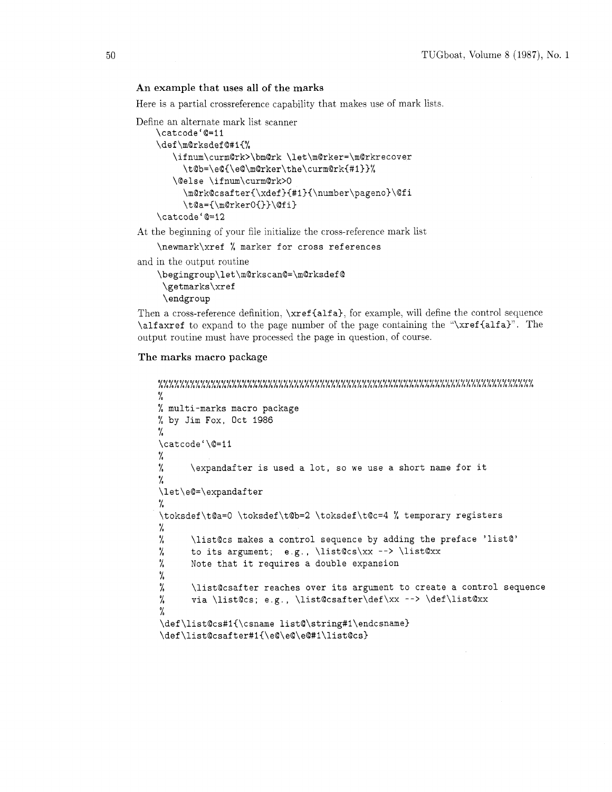## **An example that uses all of the marks**

Here is a partial crossreference capability that makes use of mark lists.

Define an alternate mark list scanner

```
\catcodei@=11 
\def \m@rksdef @#I(% 
   \ifnum\curm@rk>\bm@rk \let\m@rker=\m@rkrecover 
     \t@b=\e@{\e@\m@rker\the\curmQrk{#l)~% 
   \@else \ifnum\curm@rk>O 
     \m@rk@csafter{\xdef}{#l){\number\pageno)\@fi 
     \t@a={\m@rkerO{}}\@fi}
\cat code ' @=I2
```
At the beginning of your file initialize the cross-reference mark list

\newmark\xref % marker for cross references

and in the output routine

```
\begingroup\let\m@rkscan@=\m@rksdef@ 
 \getmarks\xref 
 \endgroup
```
Then a cross-reference definition,  $\xref{alfa},$  for example, will define the control sequence \alfaxref to expand to the page number of the page containing the "\xref{alfa}". The output routine must have processed the page in question. of course.

## **The marks macro package**

```
%
% multi-marks macro package 
% by Jim Fox, Oct 1986 
% 
\catcode'\@=11
% 
% \expandafter is used a lot, so we use a short name for it 
% 
\let\e@=\expandaf ter 
% 
\toksdef\t@a=O \toksdef\t@b=2 \toksdef\t@c=4 % temporary registers 
% 
% \list@cs makes a control sequence by adding the preface 'list@'<br>% to its argument; e.g., \list@cs\xx --> \list@xx
      to its argument; e.g., \list@cs\xx --> \list@xx
% Note that it requires a double expansion 
70 
% \list@csafter reaches over its argument to create a control sequence 
% via \list@cs; e.g., \list@csafter\def\xx --> \def\list@xx
% \def\list@cs#1{\csname list@\string#1\endcsname}
\def\list@csafter#1{\e@\e@\e@#1\list@cs}
```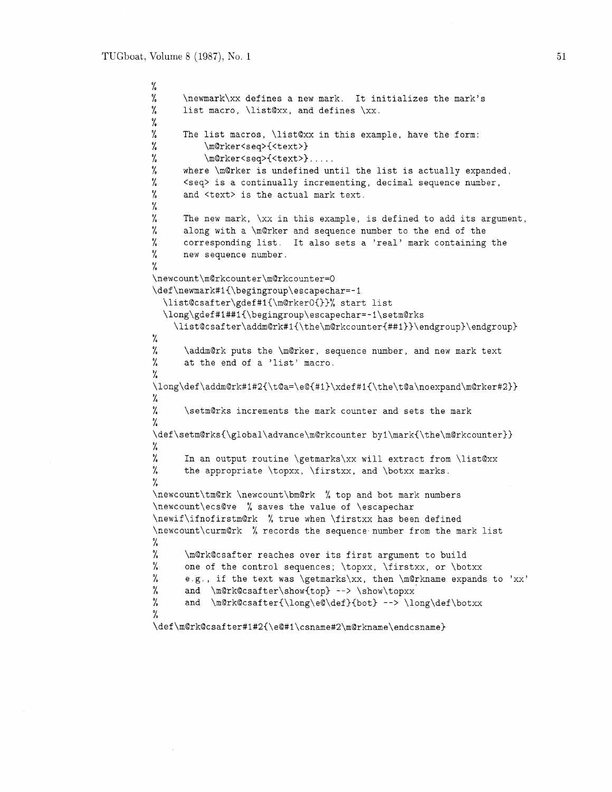```
% 
% \newmark\xx defines a new mark. It initializes the mark's<br>% list macro, \list@xx, and defines \xx.
      list macro, \listxx, and defines \xx.
% 
% The list macros, \list@xx in this example, have the form:<br>% \m@rker<seq>{<text>}
          \m@rker<seq>{<text>}
% \mathcal{M} \mQrker<seq>{<text>}.....
% where \backslashm@rker is undefined until the list is actually expanded,
% <seq> is a continually incrementing, decimal sequence number, 
% and <text> is the actual mark text. 
% 
% The new mark, \xx in this example, is defined to add its argument, 
% along with a \m@rker and sequence number to the end of the % corresponding list. It also sets a 'real' mark containing
% corresponding list. It also sets a 'real' mark containing the 
      new sequence number.
% 
\newcount\m@rkcounter\m@rkcounter=0 
\def\newmark#1{\begingroup\escapechar=-I 
  \list@csafter\gdef#1{\m@rkerO{}}% start list
  \long\gdef#l##l{\begingroup\escapechar=-l\setm@rks 
    \list@csafter\addm@rk#1{\the\m@rkcounter{##1}}\endgroup}\endgroup}
% 
% \addm@rk puts the \m@rker, sequence number, and new mark text
% at the end of a 'list' macro. 
% 
\long\def \addm@rk#l#2{\t@a=\e@C#l)\xdef #l{\the\t@a\noexpand\m@rker#2}} 
% 
% \setmarks increments the mark counter and sets the mark 
% 
\label{thm:main} $$\def\setm@rks{\global}\advance\m@rkcounter by1\mark{\the\m@rkcounter}}% 
% In an output routine \getmarks\xx will extract from \list@xx 
% the appropriate \topxx, \f irstxx, and \botxx marks. 
% 
\newcount\tm@rk \newcount\bm@rk % top and bot mark numbers 
\newcount\ecs@ve % saves the value of \escapechar 
\newif\ifnofirstm@rk % true when \firstxx has been defined 
\newcount\curm@rk % records the sequence number from the mark list
% 
% \m@rk@csafter reaches over its first argument to build 
% one of the control sequences; \topxx, \firstxx, or \botxx 
% e.g., if the text was \getmarks\xx, then \m@rkname expands to 'xx'
% and \m@rk@csafter\show{top} --> \show\topxx 
% and \m@rk@csafter{\long\e@\def}{bot} --> \long\def\botxx
% 
\def\mOrk@csafter#l#2{\e@#l\csname#2\m@rkname\endcsname)
```